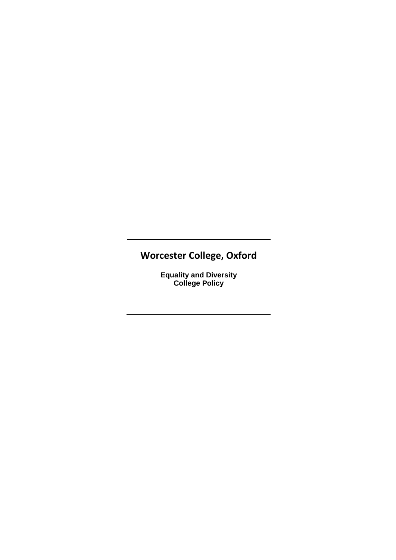# **Worcester College, Oxford**

**Equality and Diversity College Policy**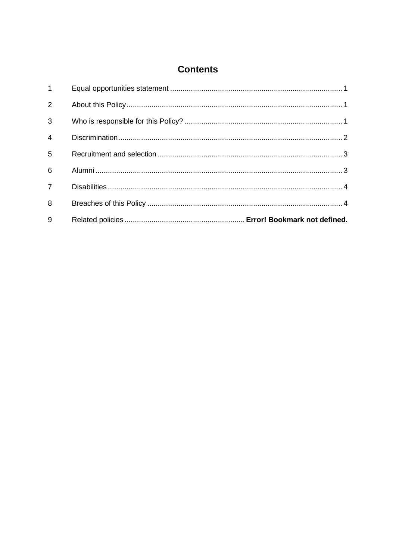# **Contents**

| $1 \quad$      |  |
|----------------|--|
| $\overline{2}$ |  |
| $\mathbf{3}$   |  |
| $\overline{4}$ |  |
| 5              |  |
| 6              |  |
| $7^{\circ}$    |  |
| 8              |  |
| 9              |  |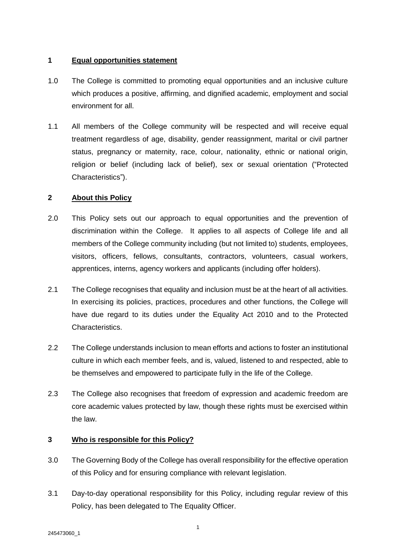#### **1 Equal opportunities statement**

- 1.0 The College is committed to promoting equal opportunities and an inclusive culture which produces a positive, affirming, and dignified academic, employment and social environment for all.
- 1.1 All members of the College community will be respected and will receive equal treatment regardless of age, disability, gender reassignment, marital or civil partner status, pregnancy or maternity, race, colour, nationality, ethnic or national origin, religion or belief (including lack of belief), sex or sexual orientation ("Protected Characteristics").

# **2 About this Policy**

- 2.0 This Policy sets out our approach to equal opportunities and the prevention of discrimination within the College. It applies to all aspects of College life and all members of the College community including (but not limited to) students, employees, visitors, officers, fellows, consultants, contractors, volunteers, casual workers, apprentices, interns, agency workers and applicants (including offer holders).
- 2.1 The College recognises that equality and inclusion must be at the heart of all activities. In exercising its policies, practices, procedures and other functions, the College will have due regard to its duties under the Equality Act 2010 and to the Protected **Characteristics**
- 2.2 The College understands inclusion to mean efforts and actions to foster an institutional culture in which each member feels, and is, valued, listened to and respected, able to be themselves and empowered to participate fully in the life of the College.
- 2.3 The College also recognises that freedom of expression and academic freedom are core academic values protected by law, though these rights must be exercised within the law.

# **3 Who is responsible for this Policy?**

- 3.0 The Governing Body of the College has overall responsibility for the effective operation of this Policy and for ensuring compliance with relevant legislation.
- 3.1 Day-to-day operational responsibility for this Policy, including regular review of this Policy, has been delegated to The Equality Officer.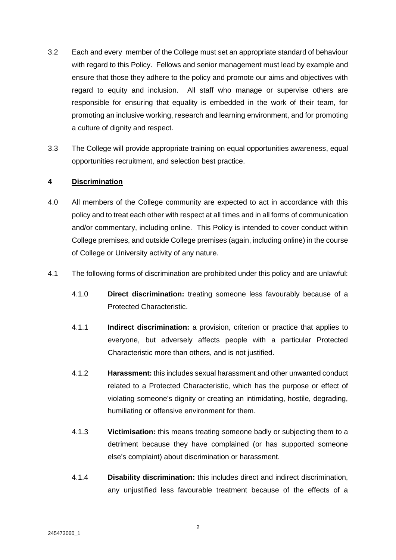- 3.2 Each and every member of the College must set an appropriate standard of behaviour with regard to this Policy. Fellows and senior management must lead by example and ensure that those they adhere to the policy and promote our aims and objectives with regard to equity and inclusion. All staff who manage or supervise others are responsible for ensuring that equality is embedded in the work of their team, for promoting an inclusive working, research and learning environment, and for promoting a culture of dignity and respect.
- 3.3 The College will provide appropriate training on equal opportunities awareness, equal opportunities recruitment, and selection best practice.

#### **4 Discrimination**

- 4.0 All members of the College community are expected to act in accordance with this policy and to treat each other with respect at all times and in all forms of communication and/or commentary, including online. This Policy is intended to cover conduct within College premises, and outside College premises (again, including online) in the course of College or University activity of any nature.
- 4.1 The following forms of discrimination are prohibited under this policy and are unlawful:
	- 4.1.0 **Direct discrimination:** treating someone less favourably because of a Protected Characteristic.
	- 4.1.1 **Indirect discrimination:** a provision, criterion or practice that applies to everyone, but adversely affects people with a particular Protected Characteristic more than others, and is not justified.
	- 4.1.2 **Harassment:** this includes sexual harassment and other unwanted conduct related to a Protected Characteristic, which has the purpose or effect of violating someone's dignity or creating an intimidating, hostile, degrading, humiliating or offensive environment for them.
	- 4.1.3 **Victimisation:** this means treating someone badly or subjecting them to a detriment because they have complained (or has supported someone else's complaint) about discrimination or harassment.
	- 4.1.4 **Disability discrimination:** this includes direct and indirect discrimination, any unjustified less favourable treatment because of the effects of a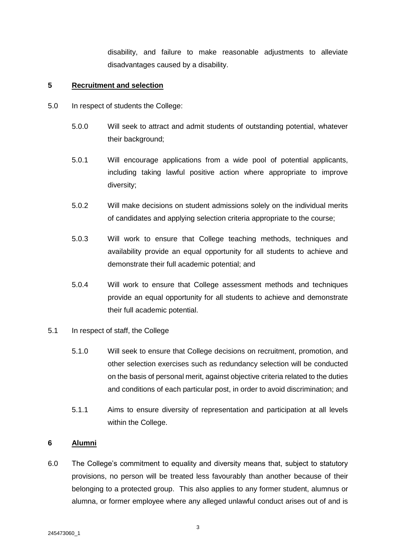disability, and failure to make reasonable adjustments to alleviate disadvantages caused by a disability.

#### **5 Recruitment and selection**

- 5.0 In respect of students the College:
	- 5.0.0 Will seek to attract and admit students of outstanding potential, whatever their background;
	- 5.0.1 Will encourage applications from a wide pool of potential applicants, including taking lawful positive action where appropriate to improve diversity;
	- 5.0.2 Will make decisions on student admissions solely on the individual merits of candidates and applying selection criteria appropriate to the course;
	- 5.0.3 Will work to ensure that College teaching methods, techniques and availability provide an equal opportunity for all students to achieve and demonstrate their full academic potential; and
	- 5.0.4 Will work to ensure that College assessment methods and techniques provide an equal opportunity for all students to achieve and demonstrate their full academic potential.

#### 5.1 In respect of staff, the College

- 5.1.0 Will seek to ensure that College decisions on recruitment, promotion, and other selection exercises such as redundancy selection will be conducted on the basis of personal merit, against objective criteria related to the duties and conditions of each particular post, in order to avoid discrimination; and
- 5.1.1 Aims to ensure diversity of representation and participation at all levels within the College.

# **6 Alumni**

6.0 The College's commitment to equality and diversity means that, subject to statutory provisions, no person will be treated less favourably than another because of their belonging to a protected group. This also applies to any former student, alumnus or alumna, or former employee where any alleged unlawful conduct arises out of and is